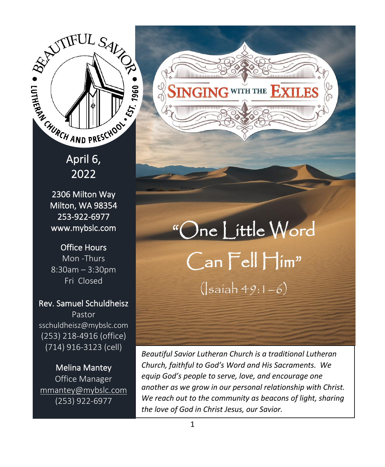$\overline{\phantom{0}}$ April 6, 2022

2306 Milton Way Milton, WA 98354 253-922-6977 [www.mybslc.com](http://www.mybslc.com/) 

Office Hours Mon -Thurs 8:30am – 3:30pm Fri Closed

Rev. Samuel Schuldheisz Pastor sschuldheisz@mybslc.com (253) 218-4916 (office) (714) 916-3123 (cell)

Melina Mantey Office Manager [mmantey@mybslc.com](mailto:mmantey@mybslc.com) (253) 922-6977

"One Little Word Can Fell Him"  $(lsain 49:1-6)$ 

SINGING WITH THE EXILES

*Beautiful Savior Lutheran Church is a traditional Lutheran Church, faithful to God's Word and His Sacraments. We equip God's people to serve, love, and encourage one another as we grow in our personal relationship with Christ. We reach out to the community as beacons of light, sharing the love of God in Christ Jesus, our Savior.*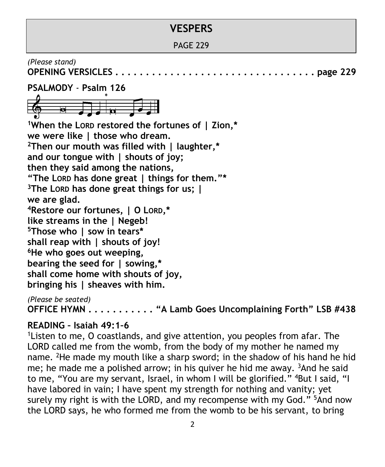# **VESPERS**

PAGE 229

*(Please stand)*

**OPENING VERSICLES . . . . . . . . . . . . . . . . . . . . . . . . . . . . . . . . . page 229**



**<sup>1</sup>When the LORD restored the fortunes of | Zion,\* we were like | those who dream. <sup>2</sup>Then our mouth was filled with | laughter,\* and our tongue with | shouts of joy; then they said among the nations, "The LORD has done great | things for them."\* <sup>3</sup>The LORD has done great things for us; | we are glad. <sup>4</sup>Restore our fortunes, | O LORD,\* like streams in the | Negeb! <sup>5</sup>Those who | sow in tears\* shall reap with | shouts of joy! <sup>6</sup>He who goes out weeping, bearing the seed for | sowing,\* shall come home with shouts of joy, bringing his | sheaves with him.**

*(Please be seated)* **OFFICE HYMN . . . . . . . . . . . "A Lamb Goes Uncomplaining Forth" LSB #438**

## **READING – Isaiah 49:1–6**

<sup>1</sup> Listen to me, O coastlands, and give attention, you peoples from afar. The LORD called me from the womb, from the body of my mother he named my name. <sup>2</sup>He made my mouth like a sharp sword; in the shadow of his hand he hid me; he made me a polished arrow; in his quiver he hid me away.  $3$ And he said to me, "You are my servant, Israel, in whom I will be glorified." <sup>4</sup>But I said, "I have labored in vain; I have spent my strength for nothing and vanity; yet surely my right is with the LORD, and my recompense with my God."  $5$ And now the LORD says, he who formed me from the womb to be his servant, to bring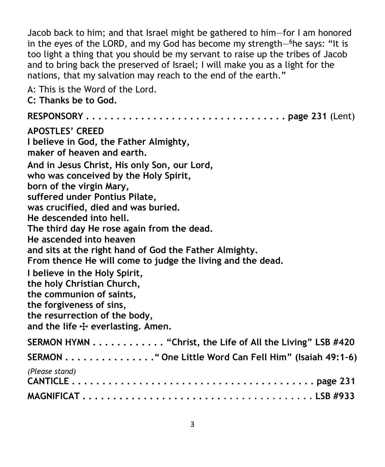Jacob back to him; and that Israel might be gathered to him—for I am honored in the eyes of the LORD, and my God has become my strength—<sup>6</sup>he says: "It is too light a thing that you should be my servant to raise up the tribes of Jacob and to bring back the preserved of Israel; I will make you as a light for the nations, that my salvation may reach to the end of the earth."

A: This is the Word of the Lord. **C: Thanks be to God. RESPONSORY . . . . . . . . . . . . . . . . . . . . . . . . . . . . . . . . . page 231** (Lent) **APOSTLES' CREED I believe in God, the Father Almighty, maker of heaven and earth. And in Jesus Christ, His only Son, our Lord, who was conceived by the Holy Spirit, born of the virgin Mary, suffered under Pontius Pilate, was crucified, died and was buried. He descended into hell. The third day He rose again from the dead. He ascended into heaven and sits at the right hand of God the Father Almighty. From thence He will come to judge the living and the dead. I believe in the Holy Spirit, the holy Christian Church, the communion of saints, the forgiveness of sins, the resurrection of the body,** and the life  $\frac{1}{2}$  everlasting. Amen. **SERMON HYMN . . . . . . . . . . . . "Christ, the Life of All the Living" LSB #420 SERMON . . . . . . . . . . . . . . ." One Little Word Can Fell Him" (Isaiah 49:1–6)** *(Please stand)* **CANTICLE . . . . . . . . . . . . . . . . . . . . . . . . . . . . . . . . . . . . . . . . page 231 MAGNIFICAT . . . . . . . . . . . . . . . . . . . . . . .** *. . . . . . . . . . . . . . .* **LSB #933**